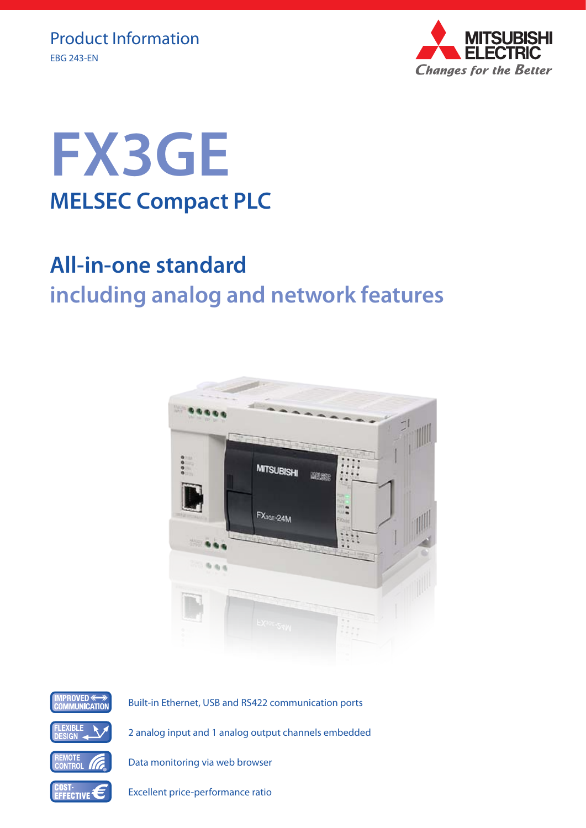



## **All-in-one standard including analog and network features**





Built-in Ethernet, USB and RS422 communication ports

2 analog input and 1 analog output channels embedded

Data monitoring via web browser

Excellent price-performance ratio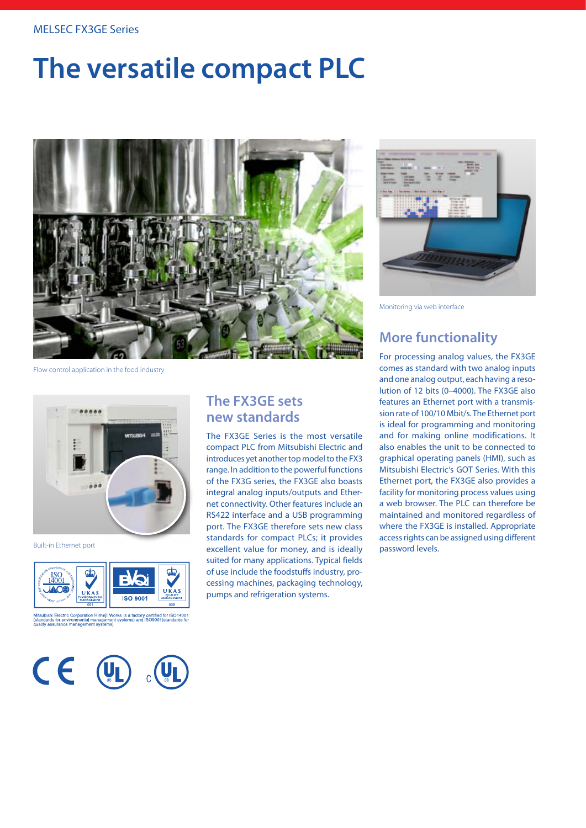#### MELSEC FX3GE Series

# **The versatile compact PLC**



Flow control application in the food industry



Built-in Ethernet port



Mitsubishi Electric Corporation Himeji Works is a factory certified for ISO14001<br>(standards for environmental management systems) and ISO9001(standards for



### **The FX3GE sets new standards**

The FX3GE Series is the most versatile compact PLC from Mitsubishi Electric and introduces yet another top model to the FX3 range. In addition to the powerful functions of the FX3G series, the FX3GE also boasts integral analog inputs/outputs and Ethernet connectivity. Other features include an RS422 interface and a USB programming port. The FX3GE therefore sets new class standards for compact PLCs; it provides excellent value for money, and is ideally suited for many applications. Typical fields of use include the foodstuffs industry, processing machines, packaging technology, pumps and refrigeration systems.



Monitoring via web interface

## **More functionality**

For processing analog values, the FX3GE comes as standard with two analog inputs and one analog output, each having a resolution of 12 bits (0–4000). The FX3GE also features an Ethernet port with a transmission rate of 100/10 Mbit/s. The Ethernet port is ideal for programming and monitoring and for making online modifications. It also enables the unit to be connected to graphical operating panels (HMI), such as Mitsubishi Electric's GOT Series. With this Ethernet port, the FX3GE also provides a facility for monitoring process values using a web browser. The PLC can therefore be maintained and monitored regardless of where the FX3GE is installed. Appropriate access rights can be assigned using different password levels.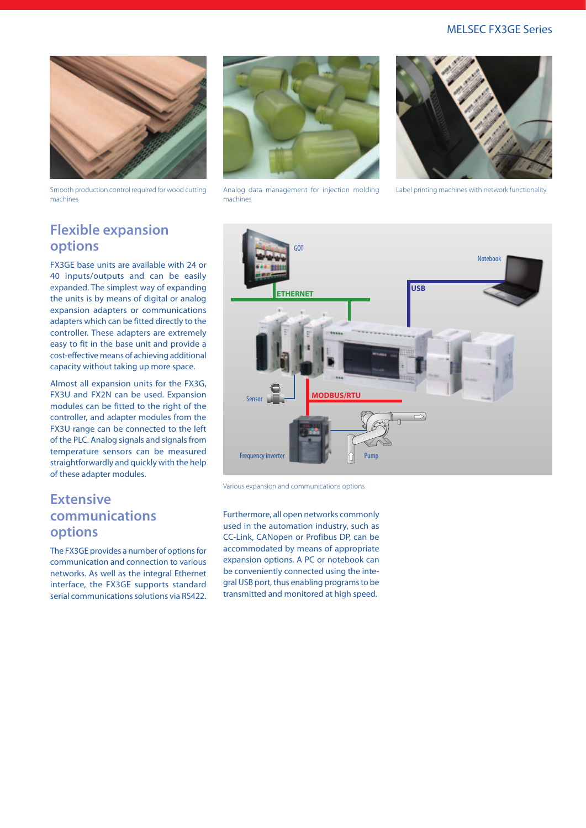#### MELSEC FX3GE Series



Smooth production control required for wood cutting machines



Analog data management for injection molding machines



Label printing machines with network functionality

## **Flexible expansion options**

FX3GE base units are available with 24 or 40 inputs/outputs and can be easily expanded. The simplest way of expanding the units is by means of digital or analog expansion adapters or communications adapters which can be fitted directly to the controller. These adapters are extremely easy to fit in the base unit and provide a cost-effective means of achieving additional capacity without taking up more space.

Almost all expansion units for the FX3G, FX3U and FX2N can be used. Expansion modules can be fitted to the right of the controller, and adapter modules from the FX3U range can be connected to the left of the PLC. Analog signals and signals from temperature sensors can be measured straightforwardly and quickly with the help of these adapter modules.

### **Extensive communications options**

The FX3GE provides a number of options for communication and connection to various networks. As well as the integral Ethernet interface, the FX3GE supports standard serial communications solutions via RS422.



Various expansion and communications options

Furthermore, all open networks commonly used in the automation industry, such as CC-Link, CANopen or Profibus DP, can be accommodated by means of appropriate expansion options. A PC or notebook can be conveniently connected using the integral USB port, thus enabling programs to be transmitted and monitored at high speed.